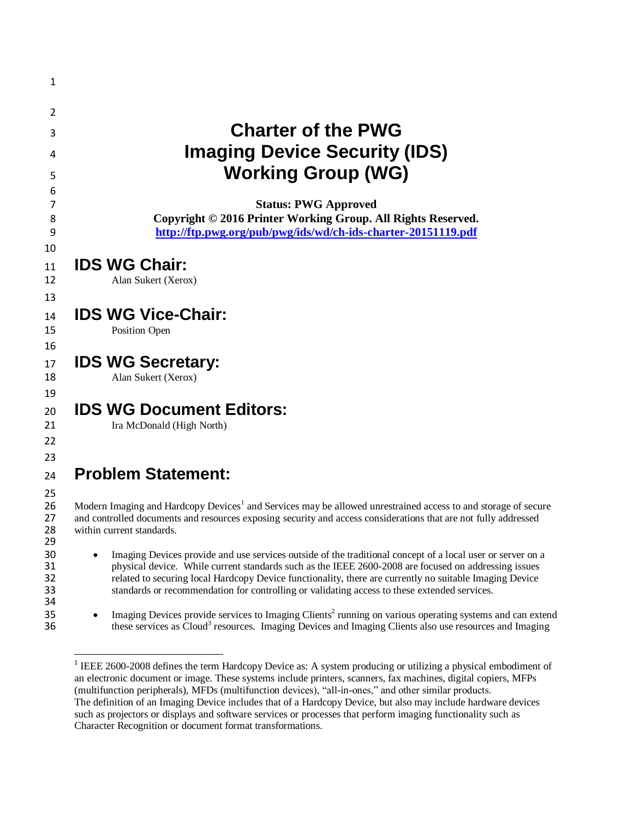| <b>Charter of the PWG</b><br><b>Imaging Device Security (IDS)</b><br><b>Working Group (WG)</b>                                                                                                                                                                                                                                                                                                                                |
|-------------------------------------------------------------------------------------------------------------------------------------------------------------------------------------------------------------------------------------------------------------------------------------------------------------------------------------------------------------------------------------------------------------------------------|
| <b>Status: PWG Approved</b><br>Copyright © 2016 Printer Working Group. All Rights Reserved.<br>http://ftp.pwg.org/pub/pwg/ids/wd/ch-ids-charter-20151119.pdf                                                                                                                                                                                                                                                                  |
| <b>IDS WG Chair:</b><br>Alan Sukert (Xerox)                                                                                                                                                                                                                                                                                                                                                                                   |
| <b>IDS WG Vice-Chair:</b><br>Position Open                                                                                                                                                                                                                                                                                                                                                                                    |
| <b>IDS WG Secretary:</b><br>Alan Sukert (Xerox)                                                                                                                                                                                                                                                                                                                                                                               |
| <b>IDS WG Document Editors:</b><br>Ira McDonald (High North)                                                                                                                                                                                                                                                                                                                                                                  |
| <b>Problem Statement:</b>                                                                                                                                                                                                                                                                                                                                                                                                     |
| Modern Imaging and Hardcopy Devices <sup>1</sup> and Services may be allowed unrestrained access to and storage of secure<br>and controlled documents and resources exposing security and access considerations that are not fully addressed<br>within current standards.                                                                                                                                                     |
| Imaging Devices provide and use services outside of the traditional concept of a local user or server on a<br>physical device. While current standards such as the IEEE 2600-2008 are focused on addressing issues<br>related to securing local Hardcopy Device functionality, there are currently no suitable Imaging Device<br>standards or recommendation for controlling or validating access to these extended services. |
| Imaging Devices provide services to Imaging Clients <sup>2</sup> running on various operating systems and can extend<br>these services as Cloud <sup>3</sup> resources. Imaging Devices and Imaging Clients also use resources and Imaging                                                                                                                                                                                    |

<sup>&</sup>lt;sup>1</sup> IEEE 2600-2008 defines the term Hardcopy Device as: A system producing or utilizing a physical embodiment of an electronic document or image. These systems include printers, scanners, fax machines, digital copiers, MFPs (multifunction peripherals), MFDs (multifunction devices), "all-in-ones," and other similar products. The definition of an Imaging Device includes that of a Hardcopy Device, but also may include hardware devices such as projectors or displays and software services or processes that perform imaging functionality such as Character Recognition or document format transformations.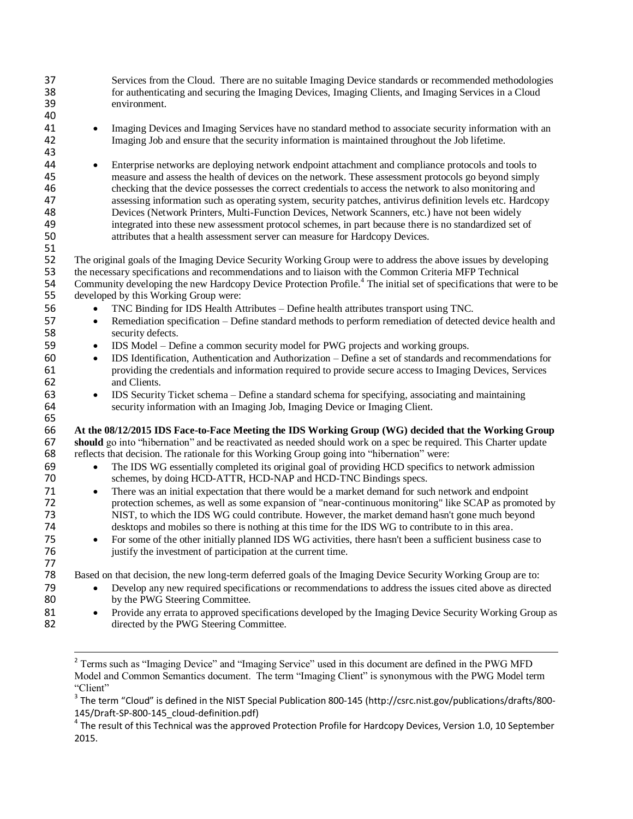37 Services from the Cloud. There are no suitable Imaging Device standards or recommended methodologies for authenticating and securing the Imaging Devices. Imaging Clients, and Imaging Services in a Cloud for authenticating and securing the Imaging Devices, Imaging Clients, and Imaging Services in a Cloud 39 environment. 40 <sup>41</sup> Imaging Devices and Imaging Services have no standard method to associate security information with an 42 Imaging Job and ensure that the security information is maintained throughout the Job lifetime. 43 44 Enterprise networks are deploying network endpoint attachment and compliance protocols and tools to measure and assess the health of devices on the network. These assessment protocols go beyond simply 45 measure and assess the health of devices on the network. These assessment protocols go beyond simply checking that the device possesses the correct credentials to access the network to also monitoring and 46 checking that the device possesses the correct credentials to access the network to also monitoring and<br>47 ssessing information such as operating system, security patches, antivirus definition levels etc. Hardco 47 assessing information such as operating system, security patches, antivirus definition levels etc. Hardcopy<br>48 Devices (Network Printers, Multi-Function Devices, Network Scanners, etc.) have not been widely 48 Devices (Network Printers, Multi-Function Devices, Network Scanners, etc.) have not been widely<br>49 integrated into these new assessment protocol schemes, in part because there is no standardized set 49 integrated into these new assessment protocol schemes, in part because there is no standardized set of attributes that a health assessment server can measure for Hardcopy Devices.

52 The original goals of the Imaging Device Security Working Group were to address the above issues by developing<br>53 the necessary specifications and recommendations and to liaison with the Common Criteria MFP Technical 53 the necessary specifications and recommendations and to liaison with the Common Criteria MFP Technical<br>54 Community developing the new Hardcopy Device Protection Profile.<sup>4</sup> The initial set of specifications that w 54 Community developing the new Hardcopy Device Protection Profile.<sup>4</sup> The initial set of specifications that were to be 55 developed by this Working Group were:

56 TNC Binding for IDS Health Attributes – Define health attributes transport using TNC.

attributes that a health assessment server can measure for Hardcopy Devices.

51

65

77<br>78

 $\overline{a}$ 

- 57 **Remediation specification Define standard methods to perform remediation of detected device health and security defects.** security defects.
- 59 IDS Model Define a common security model for PWG projects and working groups.
- <sup>6</sup> IDS Identification, Authentication and Authorization Define a set of standards and recommendations for providing the credentials and information required to provide secure access to Imaging Devices, Services 61 providing the credentials and information required to provide secure access to Imaging Devices, Services and Clients.
- 63 IDS Security Ticket schema Define a standard schema for specifying, associating and maintaining 64 security information with an Imaging Job, Imaging Device or Imaging Client.

## 66 **At the 08/12/2015 IDS Face-to-Face Meeting the IDS Working Group (WG) decided that the Working Group**

**67 should** go into "hibernation" and be reactivated as needed should work on a spec be required. This Charter update reflects that decision. The rationale for this Working Group going into "hibernation" were: reflects that decision. The rationale for this Working Group going into "hibernation" were:

- 69 The IDS WG essentially completed its original goal of providing HCD specifics to network admission 70 schemes, by doing HCD-ATTR, HCD-NAP and HCD-TNC Bindings specs.
- 71 **There was an initial expectation that there would be a market demand for such network and endpoint**<br>72 **There** interesting a more expansion of "near-continuous monitoring" like SCAP as promot protection schemes, as well as some expansion of "near-continuous monitoring" like SCAP as promoted by 73 NIST, to which the IDS WG could contribute. However, the market demand hasn't gone much beyond 74 desktops and mobiles so there is nothing at this time for the IDS WG to contribute to in this area.
- <sup>75</sup> For some of the other initially planned IDS WG activities, there hasn't been a sufficient business case to justify the investment of participation at the current time. justify the investment of participation at the current time.

Based on that decision, the new long-term deferred goals of the Imaging Device Security Working Group are to:

- 79 Develop any new required specifications or recommendations to address the issues cited above as directed by the PWG Steering Committee.
- 81 Provide any errata to approved specifications developed by the Imaging Device Security Working Group as 82 directed by the PWG Steering Committee.

<sup>&</sup>lt;sup>2</sup> Terms such as "Imaging Device" and "Imaging Service" used in this document are defined in the PWG MFD Model and Common Semantics document. The term "Imaging Client" is synonymous with the PWG Model term "Client"

 $^3$  The term "Cloud" is defined in the NIST Special Publication 800-145 (http://csrc.nist.gov/publications/drafts/800-145/Draft-SP-800-145\_cloud-definition.pdf)

<sup>&</sup>lt;sup>4</sup> The result of this Technical was the approved Protection Profile for Hardcopy Devices, Version 1.0, 10 September 2015.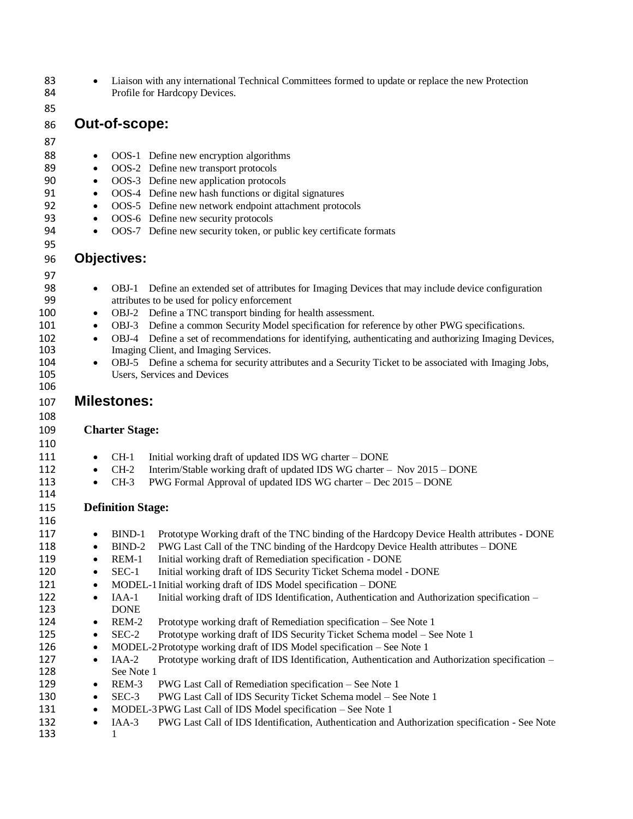| 83<br>84   | $\bullet$ | Liaison with any international Technical Committees formed to update or replace the new Protection<br>Profile for Hardcopy Devices.                   |  |  |  |
|------------|-----------|-------------------------------------------------------------------------------------------------------------------------------------------------------|--|--|--|
| 85         |           |                                                                                                                                                       |  |  |  |
| 86         |           | Out-of-scope:                                                                                                                                         |  |  |  |
|            |           |                                                                                                                                                       |  |  |  |
| 87         |           |                                                                                                                                                       |  |  |  |
| 88         | $\bullet$ | OOS-1 Define new encryption algorithms                                                                                                                |  |  |  |
| 89         | $\bullet$ | OOS-2 Define new transport protocols                                                                                                                  |  |  |  |
| 90         | $\bullet$ | OOS-3 Define new application protocols                                                                                                                |  |  |  |
| 91         | $\bullet$ | OOS-4 Define new hash functions or digital signatures                                                                                                 |  |  |  |
| 92         | $\bullet$ | OOS-5 Define new network endpoint attachment protocols                                                                                                |  |  |  |
| 93         | $\bullet$ | OOS-6 Define new security protocols                                                                                                                   |  |  |  |
| 94         | $\bullet$ | OOS-7 Define new security token, or public key certificate formats                                                                                    |  |  |  |
| 95         |           |                                                                                                                                                       |  |  |  |
| 96         |           | <b>Objectives:</b>                                                                                                                                    |  |  |  |
| 97         |           |                                                                                                                                                       |  |  |  |
| 98         | $\bullet$ | OBJ-1 Define an extended set of attributes for Imaging Devices that may include device configuration                                                  |  |  |  |
| 99         |           | attributes to be used for policy enforcement                                                                                                          |  |  |  |
| 100        | $\bullet$ | OBJ-2 Define a TNC transport binding for health assessment.                                                                                           |  |  |  |
| 101        | ٠         | OBJ-3 Define a common Security Model specification for reference by other PWG specifications.                                                         |  |  |  |
| 102        | $\bullet$ | OBJ-4 Define a set of recommendations for identifying, authenticating and authorizing Imaging Devices,                                                |  |  |  |
| 103        |           | Imaging Client, and Imaging Services.                                                                                                                 |  |  |  |
| 104        | $\bullet$ | OBJ-5 Define a schema for security attributes and a Security Ticket to be associated with Imaging Jobs,                                               |  |  |  |
| 105        |           | Users, Services and Devices                                                                                                                           |  |  |  |
| 106        |           |                                                                                                                                                       |  |  |  |
| 107        |           | <b>Milestones:</b>                                                                                                                                    |  |  |  |
| 108        |           |                                                                                                                                                       |  |  |  |
| 109        |           | <b>Charter Stage:</b>                                                                                                                                 |  |  |  |
|            |           |                                                                                                                                                       |  |  |  |
| 110        |           |                                                                                                                                                       |  |  |  |
| 111        | $\bullet$ | $CH-1$<br>Initial working draft of updated IDS WG charter - DONE                                                                                      |  |  |  |
| 112<br>113 | $\bullet$ | $CH-2$<br>Interim/Stable working draft of updated IDS WG charter - Nov 2015 - DONE<br>PWG Formal Approval of updated IDS WG charter - Dec 2015 - DONE |  |  |  |
| 114        | $\bullet$ | $CH-3$                                                                                                                                                |  |  |  |
|            |           |                                                                                                                                                       |  |  |  |
| 115        |           | <b>Definition Stage:</b>                                                                                                                              |  |  |  |
| 116        |           |                                                                                                                                                       |  |  |  |
| 117        |           | BIND-1 Prototype Working draft of the TNC binding of the Hardcopy Device Health attributes - DONE                                                     |  |  |  |
| 118        | $\bullet$ | PWG Last Call of the TNC binding of the Hardcopy Device Health attributes - DONE<br>BIND-2                                                            |  |  |  |
| 119        | $\bullet$ | Initial working draft of Remediation specification - DONE<br>REM-1                                                                                    |  |  |  |
| 120        | $\bullet$ | $SEC-1$<br>Initial working draft of IDS Security Ticket Schema model - DONE                                                                           |  |  |  |
| 121        | $\bullet$ | MODEL-1 Initial working draft of IDS Model specification - DONE                                                                                       |  |  |  |
| 122        | $\bullet$ | $IAA-1$<br>Initial working draft of IDS Identification, Authentication and Authorization specification -                                              |  |  |  |
| 123        |           | <b>DONE</b>                                                                                                                                           |  |  |  |
| 124        | $\bullet$ | Prototype working draft of Remediation specification – See Note 1<br>REM-2                                                                            |  |  |  |
| 125        | $\bullet$ | SEC-2<br>Prototype working draft of IDS Security Ticket Schema model - See Note 1                                                                     |  |  |  |
| 126        | $\bullet$ | MODEL-2 Prototype working draft of IDS Model specification - See Note 1                                                                               |  |  |  |
| 127        | $\bullet$ | IAA-2<br>Prototype working draft of IDS Identification, Authentication and Authorization specification -                                              |  |  |  |
| 128        |           | See Note 1                                                                                                                                            |  |  |  |
| 129        | $\bullet$ | PWG Last Call of Remediation specification - See Note 1<br>REM-3                                                                                      |  |  |  |
| 130        | $\bullet$ | SEC-3<br>PWG Last Call of IDS Security Ticket Schema model - See Note 1                                                                               |  |  |  |
| 131        | $\bullet$ | MODEL-3 PWG Last Call of IDS Model specification - See Note 1                                                                                         |  |  |  |
| 132        | $\bullet$ | PWG Last Call of IDS Identification, Authentication and Authorization specification - See Note<br>$IAA-3$                                             |  |  |  |
| 133        |           | 1                                                                                                                                                     |  |  |  |